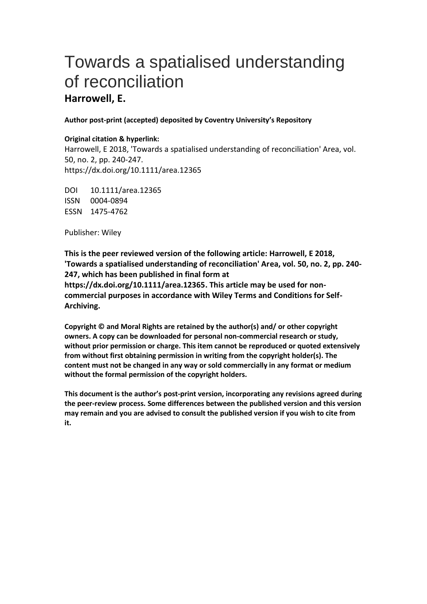# Towards a spatialised understanding of reconciliation **Harrowell, E.**

**Author post-print (accepted) deposited by Coventry University's Repository**

## **Original citation & hyperlink:**

Harrowell, E 2018, 'Towards a spatialised understanding of reconciliation' Area, vol. 50, no. 2, pp. 240-247. https://dx.doi.org/10.1111/area.12365

DOI 10.1111/area.12365 ISSN 0004-0894 ESSN 1475-4762

Publisher: Wiley

**This is the peer reviewed version of the following article: Harrowell, E 2018, 'Towards a spatialised understanding of reconciliation' Area, vol. 50, no. 2, pp. 240- 247, which has been published in final form at https://dx.doi.org/10.1111/area.12365. This article may be used for noncommercial purposes in accordance with Wiley Terms and Conditions for Self-Archiving.**

**Copyright © and Moral Rights are retained by the author(s) and/ or other copyright owners. A copy can be downloaded for personal non-commercial research or study, without prior permission or charge. This item cannot be reproduced or quoted extensively from without first obtaining permission in writing from the copyright holder(s). The content must not be changed in any way or sold commercially in any format or medium without the formal permission of the copyright holders.** 

**This document is the author's post-print version, incorporating any revisions agreed during the peer-review process. Some differences between the published version and this version may remain and you are advised to consult the published version if you wish to cite from it.**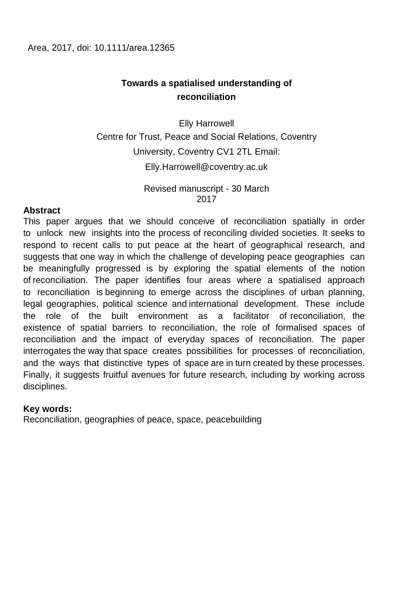# **Towards a spatialised understanding of reconciliation**

Elly Harrowell Centre for Trust, Peace and Social Relations, Coventry University, Coventry CV1 2TL Email: [Elly.Harrowell@coventry.ac.uk](mailto:Harrowell@coventry.ac.uk)

> Revised manuscript - 30 March 2017

### **Abstract**

This paper argues that we should conceive of reconciliation spatially in order to unlock new insights into the process of reconciling divided societies. It seeks to respond to recent calls to put peace at the heart of geographical research, and suggests that one way in which the challenge of developing peace geographies can be meaningfully progressed is by exploring the spatial elements of the notion of reconciliation. The paper identifies four areas where a spatialised approach to reconciliation is beginning to emerge across the disciplines of urban planning, legal geographies, political science and international development. These include the role of the built environment as a facilitator of reconciliation, the existence of spatial barriers to reconciliation, the role of formalised spaces of reconciliation and the impact of everyday spaces of reconciliation. The paper interrogates the way that space creates possibilities for processes of reconciliation, and the ways that distinctive types of space are in turn created by these processes. Finally, it suggests fruitful avenues for future research, including by working across disciplines.

#### **Key words:**

Reconciliation, geographies of peace, space, peacebuilding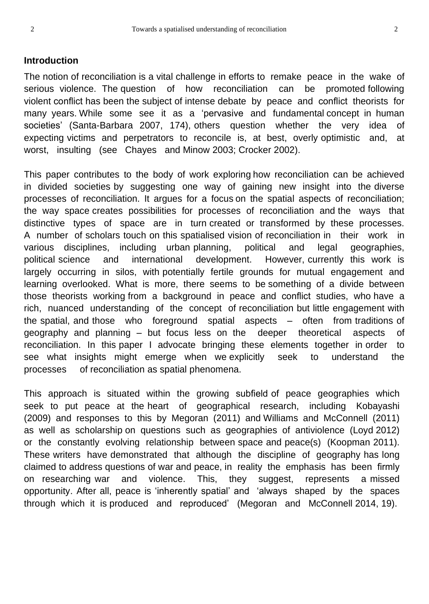#### **Introduction**

The notion of reconciliation is a vital challenge in efforts to remake peace in the wake of serious violence. The question of how reconciliation can be promoted following violent conflict has been the subject of intense debate by peace and conflict theorists for many years. While some see it as a 'pervasive and fundamental concept in human societies' (Santa-Barbara 2007, 174), others question whether the very idea of expecting victims and perpetrators to reconcile is, at best, overly optimistic and, at worst, insulting (see Chayes and Minow 2003; Crocker 2002).

This paper contributes to the body of work exploring how reconciliation can be achieved in divided societies by suggesting one way of gaining new insight into the diverse processes of reconciliation. It argues for a focus on the spatial aspects of reconciliation; the way space creates possibilities for processes of reconciliation and the ways that distinctive types of space are in turn created or transformed by these processes. A number of scholars touch on this spatialised vision of reconciliation in their work in various disciplines, including urban planning, political and legal geographies, political science and international development. However, currently this work is largely occurring in silos, with potentially fertile grounds for mutual engagement and learning overlooked. What is more, there seems to be something of a divide between those theorists working from a background in peace and conflict studies, who have a rich, nuanced understanding of the concept of reconciliation but little engagement with the spatial, and those who foreground spatial aspects – often from traditions of geography and planning – but focus less on the deeper theoretical aspects of reconciliation. In this paper I advocate bringing these elements together in order to see what insights might emerge when we explicitly seek to understand the processes of reconciliation as spatial phenomena.

This approach is situated within the growing subfield of peace geographies which seek to put peace at the heart of geographical research, including Kobayashi (2009) and responses to this by Megoran (2011) and Williams and McConnell (2011) as well as scholarship on questions such as geographies of antiviolence (Loyd 2012) or the constantly evolving relationship between space and peace(s) (Koopman 2011). These writers have demonstrated that although the discipline of geography has long claimed to address questions of war and peace, in reality the emphasis has been firmly on researching war and violence. This, they suggest, represents a missed opportunity. After all, peace is 'inherently spatial' and 'always shaped by the spaces through which it is produced and reproduced' (Megoran and McConnell 2014, 19).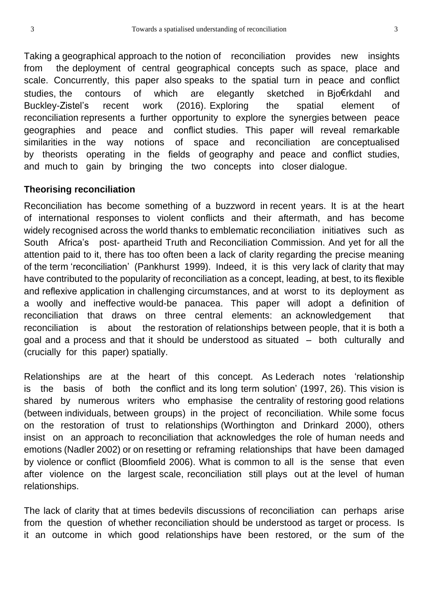Taking a geographical approach to the notion of reconciliation provides new insights from the deployment of central geographical concepts such as space, place and scale. Concurrently, this paper also speaks to the spatial turn in peace and conflict studies, the contours of which are elegantly sketched in Bio€rkdahl and Buckley-Zistel's recent work (2016). Exploring the spatial element of reconciliation represents a further opportunity to explore the synergies between peace geographies and peace and conflict studies. This paper will reveal remarkable similarities in the way notions of space and reconciliation are conceptualised by theorists operating in the fields of geography and peace and conflict studies, and much to gain by bringing the two concepts into closer dialogue.

#### **Theorising reconciliation**

Reconciliation has become something of a buzzword in recent years. It is at the heart of international responses to violent conflicts and their aftermath, and has become widely recognised across the world thanks to emblematic reconciliation initiatives such as South Africa's post- apartheid Truth and Reconciliation Commission. And yet for all the attention paid to it, there has too often been a lack of clarity regarding the precise meaning of the term 'reconciliation' (Pankhurst 1999). Indeed, it is this very lack of clarity that may have contributed to the popularity of reconciliation as a concept, leading, at best, to its flexible and reflexive application in challenging circumstances, and at worst to its deployment as a woolly and ineffective would-be panacea. This paper will adopt a definition of reconciliation that draws on three central elements: an acknowledgement that reconciliation is about the restoration of relationships between people, that it is both a goal and a process and that it should be understood as situated – both culturally and (crucially for this paper) spatially.

Relationships are at the heart of this concept. As Lederach notes 'relationship is the basis of both the conflict and its long term solution' (1997, 26). This vision is shared by numerous writers who emphasise the centrality of restoring good relations (between individuals, between groups) in the project of reconciliation. While some focus on the restoration of trust to relationships (Worthington and Drinkard 2000), others insist on an approach to reconciliation that acknowledges the role of human needs and emotions (Nadler 2002) or on resetting or reframing relationships that have been damaged by violence or conflict (Bloomfield 2006). What is common to all is the sense that even after violence on the largest scale, reconciliation still plays out at the level of human relationships.

The lack of clarity that at times bedevils discussions of reconciliation can perhaps arise from the question of whether reconciliation should be understood as target or process. Is it an outcome in which good relationships have been restored, or the sum of the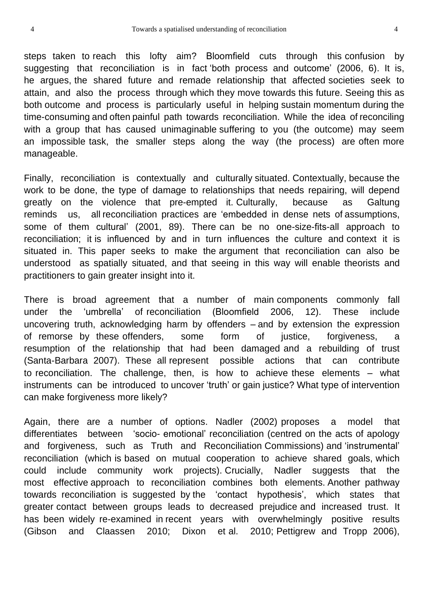steps taken to reach this lofty aim? Bloomfield cuts through this confusion by suggesting that reconciliation is in fact 'both process and outcome' (2006, 6). It is, he argues, the shared future and remade relationship that affected societies seek to attain, and also the process through which they move towards this future. Seeing this as both outcome and process is particularly useful in helping sustain momentum during the time-consuming and often painful path towards reconciliation. While the idea of reconciling with a group that has caused unimaginable suffering to you (the outcome) may seem an impossible task, the smaller steps along the way (the process) are often more manageable.

Finally, reconciliation is contextually and culturally situated. Contextually, because the work to be done, the type of damage to relationships that needs repairing, will depend greatly on the violence that pre-empted it. Culturally, because as Galtung reminds us, all reconciliation practices are 'embedded in dense nets of assumptions, some of them cultural' (2001, 89). There can be no one-size-fits-all approach to reconciliation; it is influenced by and in turn influences the culture and context it is situated in. This paper seeks to make the argument that reconciliation can also be understood as spatially situated, and that seeing in this way will enable theorists and practitioners to gain greater insight into it.

There is broad agreement that a number of main components commonly fall under the 'umbrella' of reconciliation (Bloomfield 2006, 12). These include uncovering truth, acknowledging harm by offenders – and by extension the expression of remorse by these offenders, some form of justice, forgiveness, a resumption of the relationship that had been damaged and a rebuilding of trust (Santa-Barbara 2007). These all represent possible actions that can contribute to reconciliation. The challenge, then, is how to achieve these elements – what instruments can be introduced to uncover 'truth' or gain justice? What type of intervention can make forgiveness more likely?

Again, there are a number of options. Nadler (2002) proposes a model that differentiates between 'socio- emotional' reconciliation (centred on the acts of apology and forgiveness, such as Truth and Reconciliation Commissions) and 'instrumental' reconciliation (which is based on mutual cooperation to achieve shared goals, which could include community work projects). Crucially, Nadler suggests that the most effective approach to reconciliation combines both elements. Another pathway towards reconciliation is suggested by the 'contact hypothesis', which states that greater contact between groups leads to decreased prejudice and increased trust. It has been widely re-examined in recent years with overwhelmingly positive results (Gibson and Claassen 2010; Dixon et al. 2010; Pettigrew and Tropp 2006),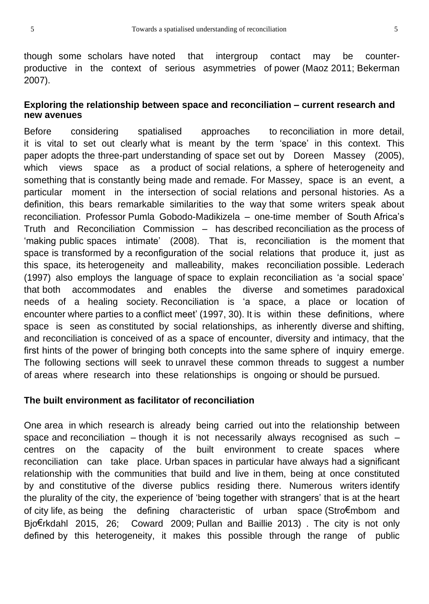though some scholars have noted that intergroup contact may be counterproductive in the context of serious asymmetries of power (Maoz 2011; Bekerman 2007).

#### **Exploring the relationship between space and reconciliation – current research and new avenues**

Before considering spatialised approaches to reconciliation in more detail, it is vital to set out clearly what is meant by the term 'space' in this context. This paper adopts the three-part understanding of space set out by Doreen Massey (2005), which views space as a product of social relations, a sphere of heterogeneity and something that is constantly being made and remade. For Massey, space is an event, a particular moment in the intersection of social relations and personal histories. As a definition, this bears remarkable similarities to the way that some writers speak about reconciliation. Professor Pumla Gobodo-Madikizela – one-time member of South Africa's Truth and Reconciliation Commission – has described reconciliation as the process of 'making public spaces intimate' (2008). That is, reconciliation is the moment that space is transformed by a reconfiguration of the social relations that produce it, just as this space, its heterogeneity and malleability, makes reconciliation possible. Lederach (1997) also employs the language of space to explain reconciliation as 'a social space' that both accommodates and enables the diverse and sometimes paradoxical needs of a healing society. Reconciliation is 'a space, a place or location of encounter where parties to a conflict meet' (1997, 30). It is within these definitions, where space is seen as constituted by social relationships, as inherently diverse and shifting, and reconciliation is conceived of as a space of encounter, diversity and intimacy, that the first hints of the power of bringing both concepts into the same sphere of inquiry emerge. The following sections will seek to unravel these common threads to suggest a number of areas where research into these relationships is ongoing or should be pursued.

#### **The built environment as facilitator of reconciliation**

One area in which research is already being carried out into the relationship between space and reconciliation  $-$  though it is not necessarily always recognised as such  $$ centres on the capacity of the built environment to create spaces where reconciliation can take place. Urban spaces in particular have always had a significant relationship with the communities that build and live in them, being at once constituted by and constitutive of the diverse publics residing there. Numerous writers identify the plurality of the city, the experience of 'being together with strangers' that is at the heart of city life, as being the defining characteristic of urban space (Stro€mbom and Bjo€rkdahl 2015, 26; Coward 2009; Pullan and Baillie 2013) . The city is not only defined by this heterogeneity, it makes this possible through the range of public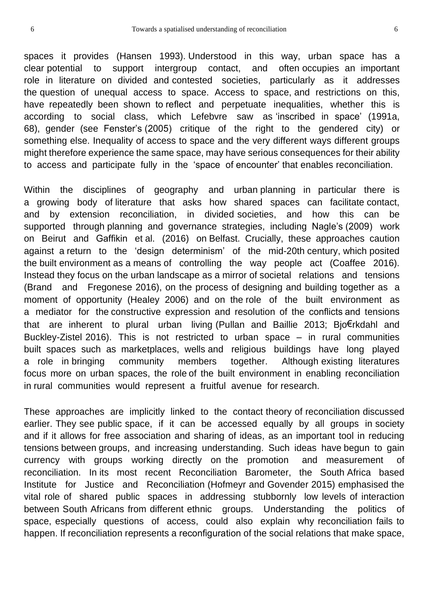spaces it provides (Hansen 1993). Understood in this way, urban space has a clear potential to support intergroup contact, and often occupies an important role in literature on divided and contested societies, particularly as it addresses the question of unequal access to space. Access to space, and restrictions on this, have repeatedly been shown to reflect and perpetuate inequalities, whether this is according to social class, which Lefebvre saw as 'inscribed in space' (1991a, 68), gender (see Fenster's (2005) critique of the right to the gendered city) or something else. Inequality of access to space and the very different ways different groups might therefore experience the same space, may have serious consequences for their ability to access and participate fully in the 'space of encounter' that enables reconciliation.

Within the disciplines of geography and urban planning in particular there is a growing body of literature that asks how shared spaces can facilitate contact, and by extension reconciliation, in divided societies, and how this can be supported through planning and governance strategies, including Nagle's (2009) work on Beirut and Gaffikin et al. (2016) on Belfast. Crucially, these approaches caution against a return to the 'design determinism' of the mid-20th century, which posited the built environment as a means of controlling the way people act (Coaffee 2016). Instead they focus on the urban landscape as a mirror of societal relations and tensions (Brand and Fregonese 2016), on the process of designing and building together as a moment of opportunity (Healey 2006) and on the role of the built environment as a mediator for the constructive expression and resolution of the conflicts and tensions that are inherent to plural urban living (Pullan and Baillie 2013; Bjo€rkdahl and Buckley-Zistel 2016). This is not restricted to urban space – in rural communities built spaces such as marketplaces, wells and religious buildings have long played a role in bringing community members together. Although existing literatures focus more on urban spaces, the role of the built environment in enabling reconciliation in rural communities would represent a fruitful avenue for research.

These approaches are implicitly linked to the contact theory of reconciliation discussed earlier. They see public space, if it can be accessed equally by all groups in society and if it allows for free association and sharing of ideas, as an important tool in reducing tensions between groups, and increasing understanding. Such ideas have begun to gain currency with groups working directly on the promotion and measurement of reconciliation. In its most recent Reconciliation Barometer, the South Africa based Institute for Justice and Reconciliation (Hofmeyr and Govender 2015) emphasised the vital role of shared public spaces in addressing stubbornly low levels of interaction between South Africans from different ethnic groups. Understanding the politics of space, especially questions of access, could also explain why reconciliation fails to happen. If reconciliation represents a reconfiguration of the social relations that make space,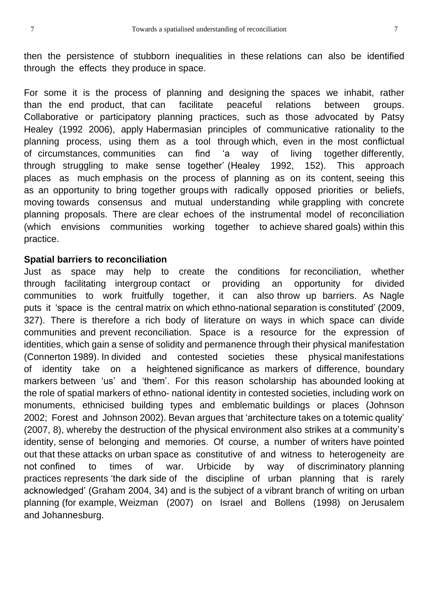then the persistence of stubborn inequalities in these relations can also be identified through the effects they produce in space.

For some it is the process of planning and designing the spaces we inhabit, rather than the end product, that can facilitate peaceful relations between groups. Collaborative or participatory planning practices, such as those advocated by Patsy Healey (1992 2006), apply Habermasian principles of communicative rationality to the planning process, using them as a tool through which, even in the most conflictual of circumstances, communities can find 'a way of living together differently, through struggling to make sense together' (Healey 1992, 152). This approach places as much emphasis on the process of planning as on its content, seeing this as an opportunity to bring together groups with radically opposed priorities or beliefs, moving towards consensus and mutual understanding while grappling with concrete planning proposals. There are clear echoes of the instrumental model of reconciliation (which envisions communities working together to achieve shared goals) within this practice.

#### **Spatial barriers to reconciliation**

Just as space may help to create the conditions for reconciliation, whether through facilitating intergroup contact or providing an opportunity for divided communities to work fruitfully together, it can also throw up barriers. As Nagle puts it 'space is the central matrix on which ethno-national separation is constituted' (2009, 327). There is therefore a rich body of literature on ways in which space can divide communities and prevent reconciliation. Space is a resource for the expression of identities, which gain a sense of solidity and permanence through their physical manifestation (Connerton 1989). In divided and contested societies these physical manifestations of identity take on a heightened significance as markers of difference, boundary markers between 'us' and 'them'. For this reason scholarship has abounded looking at the role of spatial markers of ethno- national identity in contested societies, including work on monuments, ethnicised building types and emblematic buildings or places (Johnson 2002; Forest and Johnson 2002). Bevan argues that 'architecture takes on a totemic quality' (2007, 8), whereby the destruction of the physical environment also strikes at a community's identity, sense of belonging and memories. Of course, a number of writers have pointed out that these attacks on urban space as constitutive of and witness to heterogeneity are not confined to times of war. Urbicide by way of discriminatory planning practices represents 'the dark side of the discipline of urban planning that is rarely acknowledged' (Graham 2004, 34) and is the subject of a vibrant branch of writing on urban planning (for example, Weizman (2007) on Israel and Bollens (1998) on Jerusalem and Johannesburg.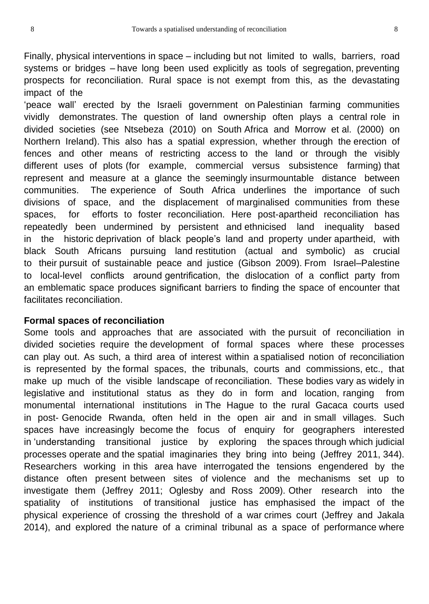Finally, physical interventions in space – including but not limited to walls, barriers, road systems or bridges – have long been used explicitly as tools of segregation, preventing prospects for reconciliation. Rural space is not exempt from this, as the devastating impact of the

'peace wall' erected by the Israeli government on Palestinian farming communities vividly demonstrates. The question of land ownership often plays a central role in divided societies (see Ntsebeza (2010) on South Africa and Morrow et al. (2000) on Northern Ireland). This also has a spatial expression, whether through the erection of fences and other means of restricting access to the land or through the visibly different uses of plots (for example, commercial versus subsistence farming) that represent and measure at a glance the seemingly insurmountable distance between communities. The experience of South Africa underlines the importance of such divisions of space, and the displacement of marginalised communities from these spaces, for efforts to foster reconciliation. Here post-apartheid reconciliation has repeatedly been undermined by persistent and ethnicised land inequality based in the historic deprivation of black people's land and property under apartheid, with black South Africans pursuing land restitution (actual and symbolic) as crucial to their pursuit of sustainable peace and justice (Gibson 2009). From Israel–Palestine to local-level conflicts around gentrification, the dislocation of a conflict party from an emblematic space produces significant barriers to finding the space of encounter that facilitates reconciliation.

#### **Formal spaces of reconciliation**

Some tools and approaches that are associated with the pursuit of reconciliation in divided societies require the development of formal spaces where these processes can play out. As such, a third area of interest within a spatialised notion of reconciliation is represented by the formal spaces, the tribunals, courts and commissions, etc., that make up much of the visible landscape of reconciliation. These bodies vary as widely in legislative and institutional status as they do in form and location, ranging from monumental international institutions in The Hague to the rural Gacaca courts used in post- Genocide Rwanda, often held in the open air and in small villages. Such spaces have increasingly become the focus of enquiry for geographers interested in 'understanding transitional justice by exploring the spaces through which judicial processes operate and the spatial imaginaries they bring into being (Jeffrey 2011, 344). Researchers working in this area have interrogated the tensions engendered by the distance often present between sites of violence and the mechanisms set up to investigate them (Jeffrey 2011; Oglesby and Ross 2009). Other research into the spatiality of institutions of transitional justice has emphasised the impact of the physical experience of crossing the threshold of a war crimes court (Jeffrey and Jakala 2014), and explored the nature of a criminal tribunal as a space of performance where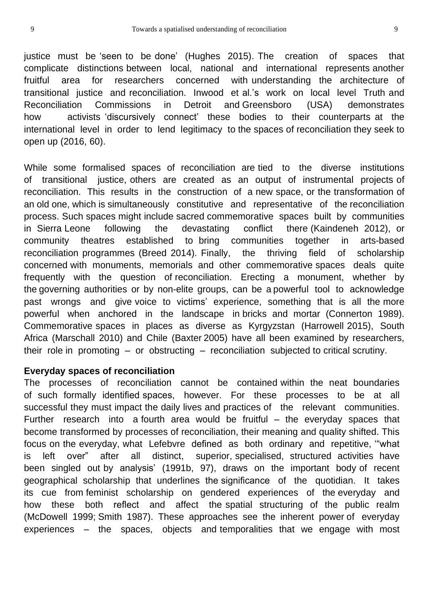justice must be 'seen to be done' (Hughes 2015). The creation of spaces that complicate distinctions between local, national and international represents another fruitful area for researchers concerned with understanding the architecture of transitional justice and reconciliation. Inwood et al.'s work on local level Truth and Reconciliation Commissions in Detroit and Greensboro (USA) demonstrates how activists 'discursively connect' these bodies to their counterparts at the international level in order to lend legitimacy to the spaces of reconciliation they seek to open up (2016, 60).

While some formalised spaces of reconciliation are tied to the diverse institutions of transitional justice, others are created as an output of instrumental projects of reconciliation. This results in the construction of a new space, or the transformation of an old one, which is simultaneously constitutive and representative of the reconciliation process. Such spaces might include sacred commemorative spaces built by communities in Sierra Leone following the devastating conflict there (Kaindeneh 2012), or community theatres established to bring communities together in arts-based reconciliation programmes (Breed 2014). Finally, the thriving field of scholarship concerned with monuments, memorials and other commemorative spaces deals quite frequently with the question of reconciliation. Erecting a monument, whether by the governing authorities or by non-elite groups, can be a powerful tool to acknowledge past wrongs and give voice to victims' experience, something that is all the more powerful when anchored in the landscape in bricks and mortar (Connerton 1989). Commemorative spaces in places as diverse as Kyrgyzstan (Harrowell 2015), South Africa (Marschall 2010) and Chile (Baxter 2005) have all been examined by researchers, their role in promoting – or obstructing – reconciliation subjected to critical scrutiny.

#### **Everyday spaces of reconciliation**

The processes of reconciliation cannot be contained within the neat boundaries of such formally identified spaces, however. For these processes to be at all successful they must impact the daily lives and practices of the relevant communities. Further research into a fourth area would be fruitful  $-$  the everyday spaces that become transformed by processes of reconciliation, their meaning and quality shifted. This focus on the everyday, what Lefebvre defined as both ordinary and repetitive, '"what is left over" after all distinct, superior, specialised, structured activities have been singled out by analysis' (1991b, 97), draws on the important body of recent geographical scholarship that underlines the significance of the quotidian. It takes its cue from feminist scholarship on gendered experiences of the everyday and how these both reflect and affect the spatial structuring of the public realm (McDowell 1999; Smith 1987). These approaches see the inherent power of everyday experiences – the spaces, objects and temporalities that we engage with most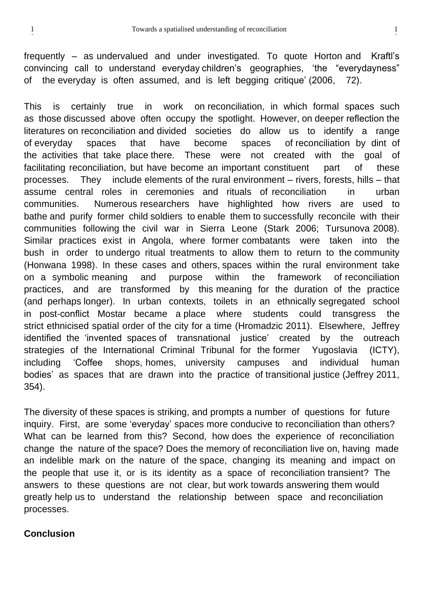frequently – as undervalued and under investigated. To quote Horton and Kraftl's convincing call to understand everyday children's geographies, 'the "everydayness" of the everyday is often assumed, and is left begging critique' (2006, 72).

This is certainly true in work on reconciliation, in which formal spaces such as those discussed above often occupy the spotlight. However, on deeper reflection the literatures on reconciliation and divided societies do allow us to identify a range of everyday spaces that have become spaces of reconciliation by dint of the activities that take place there. These were not created with the goal of facilitating reconciliation, but have become an important constituent part of these processes. They include elements of the rural environment – rivers, forests, hills – that assume central roles in ceremonies and rituals of reconciliation in urban communities. Numerous researchers have highlighted how rivers are used to bathe and purify former child soldiers to enable them to successfully reconcile with their communities following the civil war in Sierra Leone (Stark 2006; Tursunova 2008). Similar practices exist in Angola, where former combatants were taken into the bush in order to undergo ritual treatments to allow them to return to the community (Honwana 1998). In these cases and others, spaces within the rural environment take on a symbolic meaning and purpose within the framework of reconciliation practices, and are transformed by this meaning for the duration of the practice (and perhaps longer). In urban contexts, toilets in an ethnically segregated school in post-conflict Mostar became a place where students could transgress the strict ethnicised spatial order of the city for a time (Hromadzic 2011). Elsewhere, Jeffrey identified the 'invented spaces of transnational justice' created by the outreach strategies of the International Criminal Tribunal for the former Yugoslavia (ICTY), including 'Coffee shops, homes, university campuses and individual human bodies' as spaces that are drawn into the practice of transitional justice (Jeffrey 2011, 354).

The diversity of these spaces is striking, and prompts a number of questions for future inquiry. First, are some 'everyday' spaces more conducive to reconciliation than others? What can be learned from this? Second, how does the experience of reconciliation change the nature of the space? Does the memory of reconciliation live on, having made an indelible mark on the nature of the space, changing its meaning and impact on the people that use it, or is its identity as a space of reconciliation transient? The answers to these questions are not clear, but work towards answering them would greatly help us to understand the relationship between space and reconciliation processes.

#### **Conclusion**

1 0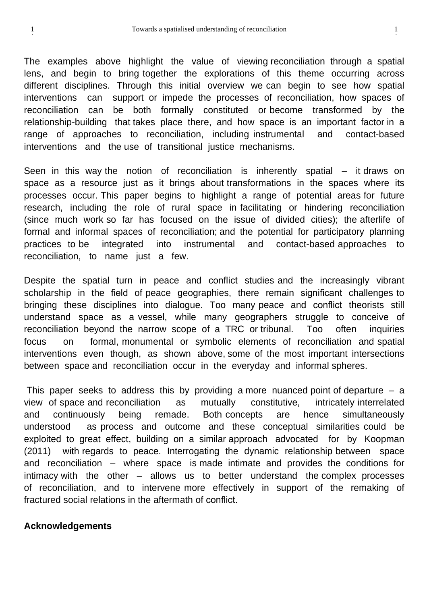The examples above highlight the value of viewing reconciliation through a spatial lens, and begin to bring together the explorations of this theme occurring across different disciplines. Through this initial overview we can begin to see how spatial interventions can support or impede the processes of reconciliation, how spaces of reconciliation can be both formally constituted or become transformed by the relationship-building that takes place there, and how space is an important factor in a range of approaches to reconciliation, including instrumental and contact-based interventions and the use of transitional justice mechanisms.

Seen in this way the notion of reconciliation is inherently spatial – it draws on space as a resource just as it brings about transformations in the spaces where its processes occur. This paper begins to highlight a range of potential areas for future research, including the role of rural space in facilitating or hindering reconciliation (since much work so far has focused on the issue of divided cities); the afterlife of formal and informal spaces of reconciliation; and the potential for participatory planning practices to be integrated into instrumental and contact-based approaches to reconciliation, to name just a few.

Despite the spatial turn in peace and conflict studies and the increasingly vibrant scholarship in the field of peace geographies, there remain significant challenges to bringing these disciplines into dialogue. Too many peace and conflict theorists still understand space as a vessel, while many geographers struggle to conceive of reconciliation beyond the narrow scope of a TRC or tribunal. Too often inquiries focus on formal, monumental or symbolic elements of reconciliation and spatial interventions even though, as shown above, some of the most important intersections between space and reconciliation occur in the everyday and informal spheres.

This paper seeks to address this by providing a more nuanced point of departure  $-$  a view of space and reconciliation as mutually constitutive, intricately interrelated and continuously being remade. Both concepts are hence simultaneously understood as process and outcome and these conceptual similarities could be exploited to great effect, building on a similar approach advocated for by Koopman (2011) with regards to peace. Interrogating the dynamic relationship between space and reconciliation – where space is made intimate and provides the conditions for intimacy with the other – allows us to better understand the complex processes of reconciliation, and to intervene more effectively in support of the remaking of fractured social relations in the aftermath of conflict.

#### **Acknowledgements**

1 1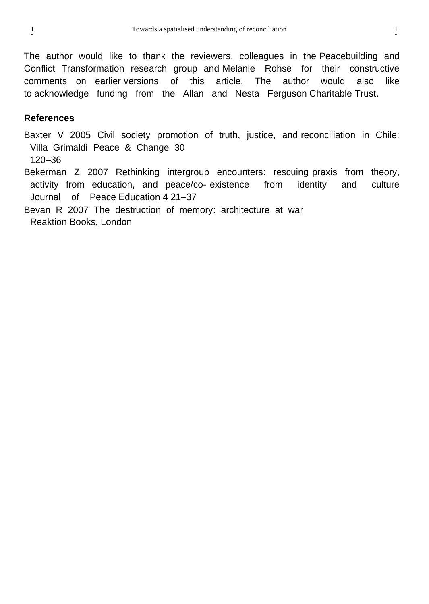The author would like to thank the reviewers, colleagues in the Peacebuilding and Conflict Transformation research group and Melanie Rohse for their constructive comments on earlier versions of this article. The author would also like to acknowledge funding from the Allan and Nesta Ferguson Charitable Trust.

#### **References**

Baxter V 2005 Civil society promotion of truth, justice, and reconciliation in Chile: Villa Grimaldi Peace & Change 30

120–36

- Bekerman Z 2007 Rethinking intergroup encounters: rescuing praxis from theory, activity from education, and peace/co- existence from identity and culture Journal of Peace Education 4 21–37
- Bevan R 2007 The destruction of memory: architecture at war Reaktion Books, London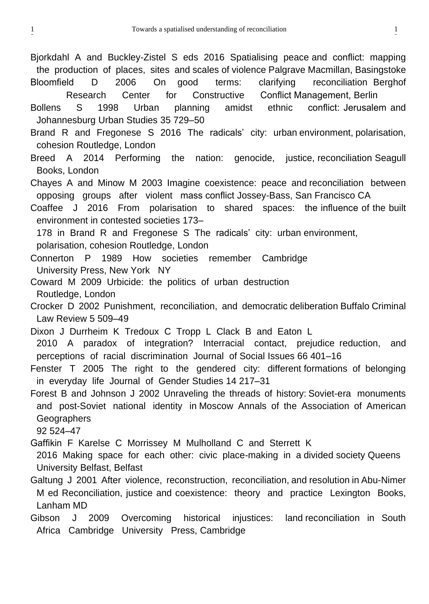- Bjorkdahl A and Buckley-Zistel S eds 2016 Spatialising peace and conflict: mapping the production of places, sites and scales of violence Palgrave Macmillan, Basingstoke Bloomfield D 2006 On good terms: clarifying reconciliation Berghof
- Research Center for Constructive Conflict Management, Berlin Bollens S 1998 Urban planning amidst ethnic conflict: Jerusalem and

Johannesburg Urban Studies 35 729–50

- Brand R and Fregonese S 2016 The radicals' city: urban environment, polarisation, cohesion Routledge, London
- Breed A 2014 Performing the nation: genocide, justice, reconciliation Seagull Books, London
- Chayes A and Minow M 2003 Imagine coexistence: peace and reconciliation between opposing groups after violent mass conflict Jossey-Bass, San Francisco CA
- Coaffee J 2016 From polarisation to shared spaces: the influence of the built environment in contested societies 173–

178 in Brand R and Fregonese S The radicals' city: urban environment,

- polarisation, cohesion Routledge, London
- Connerton P 1989 How societies remember Cambridge University Press, New York NY
- Coward M 2009 Urbicide: the politics of urban destruction Routledge, London
- Crocker D 2002 Punishment, reconciliation, and democratic deliberation Buffalo Criminal Law Review 5 509–49
- Dixon J Durrheim K Tredoux C Tropp L Clack B and Eaton L 2010 A paradox of integration? Interracial contact, prejudice reduction, and perceptions of racial discrimination Journal of Social Issues 66 401–16
- Fenster T 2005 The right to the gendered city: different formations of belonging in everyday life Journal of Gender Studies 14 217–31
- Forest B and Johnson J 2002 Unraveling the threads of history: Soviet-era monuments and post-Soviet national identity in Moscow Annals of the Association of American **Geographers**

92 524–47

Gaffikin F Karelse C Morrissey M Mulholland C and Sterrett K

2016 Making space for each other: civic place-making in a divided society Queens University Belfast, Belfast

- Galtung J 2001 After violence, reconstruction, reconciliation, and resolution in Abu-Nimer M ed Reconciliation, justice and coexistence: theory and practice Lexington Books, Lanham MD
- Gibson J 2009 Overcoming historical injustices: land reconciliation in South Africa Cambridge University Press, Cambridge

1 3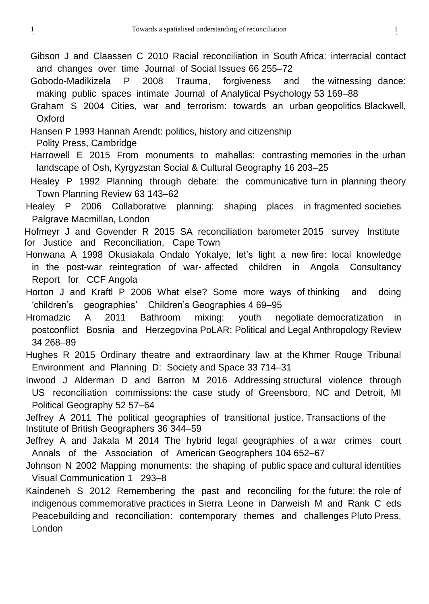- Gibson J and Claassen C 2010 Racial reconciliation in South Africa: interracial contact and changes over time Journal of Social Issues 66 255–72
- Gobodo-Madikizela P 2008 Trauma, forgiveness and the witnessing dance: making public spaces intimate Journal of Analytical Psychology 53 169–88
- Graham S 2004 Cities, war and terrorism: towards an urban geopolitics Blackwell, Oxford
- Hansen P 1993 Hannah Arendt: politics, history and citizenship
- Polity Press, Cambridge
- Harrowell E 2015 From monuments to mahallas: contrasting memories in the urban landscape of Osh, Kyrgyzstan Social & Cultural Geography 16 203–25
- Healey P 1992 Planning through debate: the communicative turn in planning theory Town Planning Review 63 143–62
- Healey P 2006 Collaborative planning: shaping places in fragmented societies Palgrave Macmillan, London
- Hofmeyr J and Govender R 2015 SA reconciliation barometer 2015 survey Institute for Justice and Reconciliation, Cape Town
- Honwana A 1998 Okusiakala Ondalo Yokalye, let's light a new fire: local knowledge in the post-war reintegration of war- affected children in Angola Consultancy Report for CCF Angola
- Horton J and Kraftl P 2006 What else? Some more ways of thinking and doing 'children's geographies' Children's Geographies 4 69–95
- Hromadzic A 2011 Bathroom mixing: youth negotiate democratization in postconflict Bosnia and Herzegovina PoLAR: Political and Legal Anthropology Review 34 268–89
- Hughes R 2015 Ordinary theatre and extraordinary law at the Khmer Rouge Tribunal Environment and Planning D: Society and Space 33 714–31
- Inwood J Alderman D and Barron M 2016 Addressing structural violence through US reconciliation commissions: the case study of Greensboro, NC and Detroit, MI Political Geography 52 57–64
- Jeffrey A 2011 The political geographies of transitional justice. Transactions of the Institute of British Geographers 36 344–59
- Jeffrey A and Jakala M 2014 The hybrid legal geographies of a war crimes court Annals of the Association of American Geographers 104 652–67
- Johnson N 2002 Mapping monuments: the shaping of public space and cultural identities Visual Communication 1 293–8
- Kaindeneh S 2012 Remembering the past and reconciling for the future: the role of indigenous commemorative practices in Sierra Leone in Darweish M and Rank C eds Peacebuilding and reconciliation: contemporary themes and challenges Pluto Press, London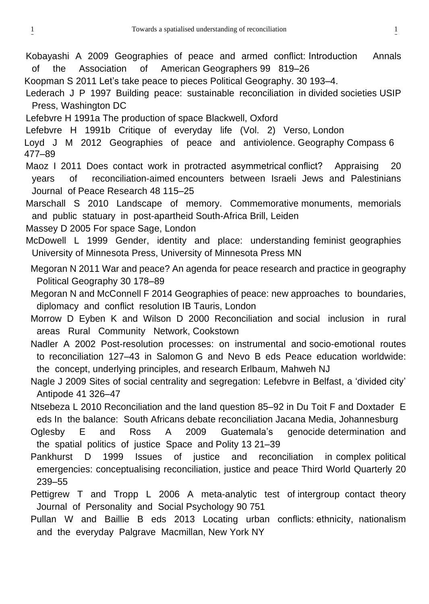Kobayashi A 2009 Geographies of peace and armed conflict: Introduction Annals of the Association of American Geographers 99 819–26

Koopman S 2011 Let's take peace to pieces Political Geography. 30 193–4.

Lederach J P 1997 Building peace: sustainable reconciliation in divided societies USIP Press, Washington DC

Lefebvre H 1991a The production of space Blackwell, Oxford

Lefebvre H 1991b Critique of everyday life (Vol. 2) Verso, London

Loyd J M 2012 Geographies of peace and antiviolence. Geography Compass 6 477–89

Maoz I 2011 Does contact work in protracted asymmetrical conflict? Appraising 20 years of reconciliation-aimed encounters between Israeli Jews and Palestinians Journal of Peace Research 48 115–25

Marschall S 2010 Landscape of memory. Commemorative monuments, memorials and public statuary in post-apartheid South-Africa Brill, Leiden

Massey D 2005 For space Sage, London

McDowell L 1999 Gender, identity and place: understanding feminist geographies University of Minnesota Press, University of Minnesota Press MN

Megoran N 2011 War and peace? An agenda for peace research and practice in geography Political Geography 30 178–89

Megoran N and McConnell F 2014 Geographies of peace: new approaches to boundaries, diplomacy and conflict resolution IB Tauris, London

Morrow D Eyben K and Wilson D 2000 Reconciliation and social inclusion in rural areas Rural Community Network, Cookstown

Nadler A 2002 Post-resolution processes: on instrumental and socio-emotional routes to reconciliation 127–43 in Salomon G and Nevo B eds Peace education worldwide: the concept, underlying principles, and research Erlbaum, Mahweh NJ

Nagle J 2009 Sites of social centrality and segregation: Lefebvre in Belfast, a 'divided city' Antipode 41 326–47

Ntsebeza L 2010 Reconciliation and the land question 85–92 in Du Toit F and Doxtader E eds In the balance: South Africans debate reconciliation Jacana Media, Johannesburg

- Oglesby E and Ross A 2009 Guatemala's genocide determination and the spatial politics of justice Space and Polity 13 21–39
- Pankhurst D 1999 Issues of justice and reconciliation in complex political emergencies: conceptualising reconciliation, justice and peace Third World Quarterly 20 239–55
- Pettigrew T and Tropp L 2006 A meta-analytic test of intergroup contact theory Journal of Personality and Social Psychology 90 751
- Pullan W and Baillie B eds 2013 Locating urban conflicts: ethnicity, nationalism and the everyday Palgrave Macmillan, New York NY